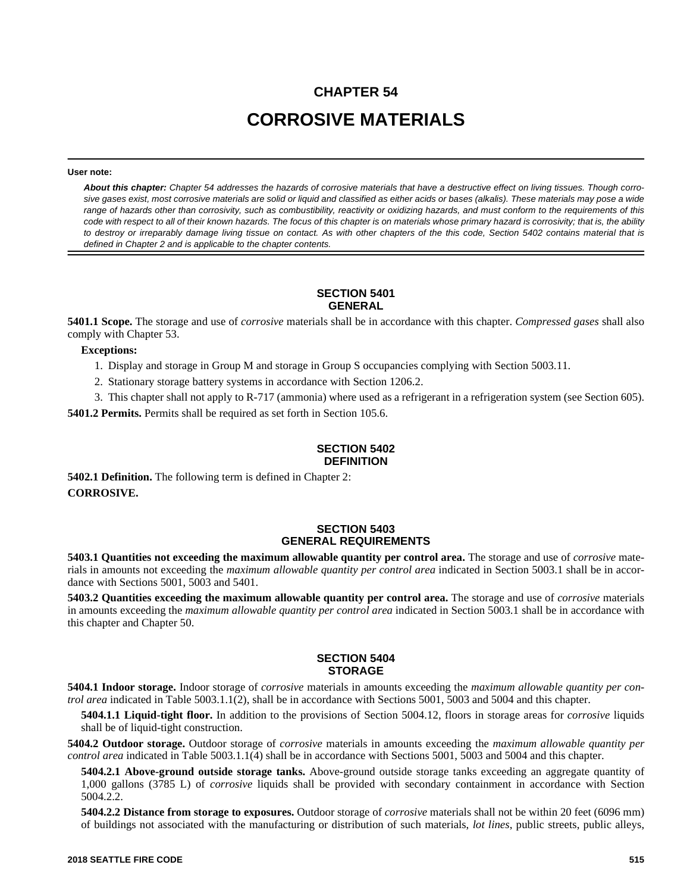# **CHAPTER 54 CORROSIVE MATERIALS**

#### **User note:**

*About this chapter: Chapter 54 addresses the hazards of corrosive materials that have a destructive effect on living tissues. Though corrosive gases exist, most corrosive materials are solid or liquid and classified as either acids or bases (alkalis). These materials may pose a wide range of hazards other than corrosivity, such as combustibility, reactivity or oxidizing hazards, and must conform to the requirements of this code with respect to all of their known hazards. The focus of this chapter is on materials whose primary hazard is corrosivity; that is, the ability to destroy or irreparably damage living tissue on contact. As with other chapters of the this code, Section 5402 contains material that is defined in Chapter 2 and is applicable to the chapter contents.*

## **SECTION 5401 GENERAL**

**5401.1 Scope.** The storage and use of *corrosive* materials shall be in accordance with this chapter. *Compressed gases* shall also comply with Chapter 53.

**Exceptions:**

- 1. Display and storage in Group M and storage in Group S occupancies complying with Section 5003.11.
- 2. Stationary storage battery systems in accordance with Section 1206.2.
- 3. This chapter shall not apply to R-717 (ammonia) where used as a refrigerant in a refrigeration system (see Section 605).

**5401.2 Permits.** Permits shall be required as set forth in Section 105.6.

### **SECTION 5402 DEFINITION**

**5402.1 Definition.** The following term is defined in Chapter 2: **CORROSIVE.**

## **SECTION 5403 GENERAL REQUIREMENTS**

**5403.1 Quantities not exceeding the maximum allowable quantity per control area.** The storage and use of *corrosive* materials in amounts not exceeding the *maximum allowable quantity per control area* indicated in Section 5003.1 shall be in accordance with Sections 5001, 5003 and 5401.

**5403.2 Quantities exceeding the maximum allowable quantity per control area.** The storage and use of *corrosive* materials in amounts exceeding the *maximum allowable quantity per control area* indicated in Section 5003.1 shall be in accordance with this chapter and Chapter 50.

#### **SECTION 5404 STORAGE**

**5404.1 Indoor storage.** Indoor storage of *corrosive* materials in amounts exceeding the *maximum allowable quantity per control area* indicated in Table 5003.1.1(2), shall be in accordance with Sections 5001, 5003 and 5004 and this chapter.

**5404.1.1 Liquid-tight floor.** In addition to the provisions of Section 5004.12, floors in storage areas for *corrosive* liquids shall be of liquid-tight construction.

**5404.2 Outdoor storage.** Outdoor storage of *corrosive* materials in amounts exceeding the *maximum allowable quantity per control area* indicated in Table 5003.1.1(4) shall be in accordance with Sections 5001, 5003 and 5004 and this chapter.

**5404.2.1 Above-ground outside storage tanks.** Above-ground outside storage tanks exceeding an aggregate quantity of 1,000 gallons (3785 L) of *corrosive* liquids shall be provided with secondary containment in accordance with Section 5004.2.2.

**5404.2.2 Distance from storage to exposures.** Outdoor storage of *corrosive* materials shall not be within 20 feet (6096 mm) of buildings not associated with the manufacturing or distribution of such materials, *lot lines*, public streets, public alleys,